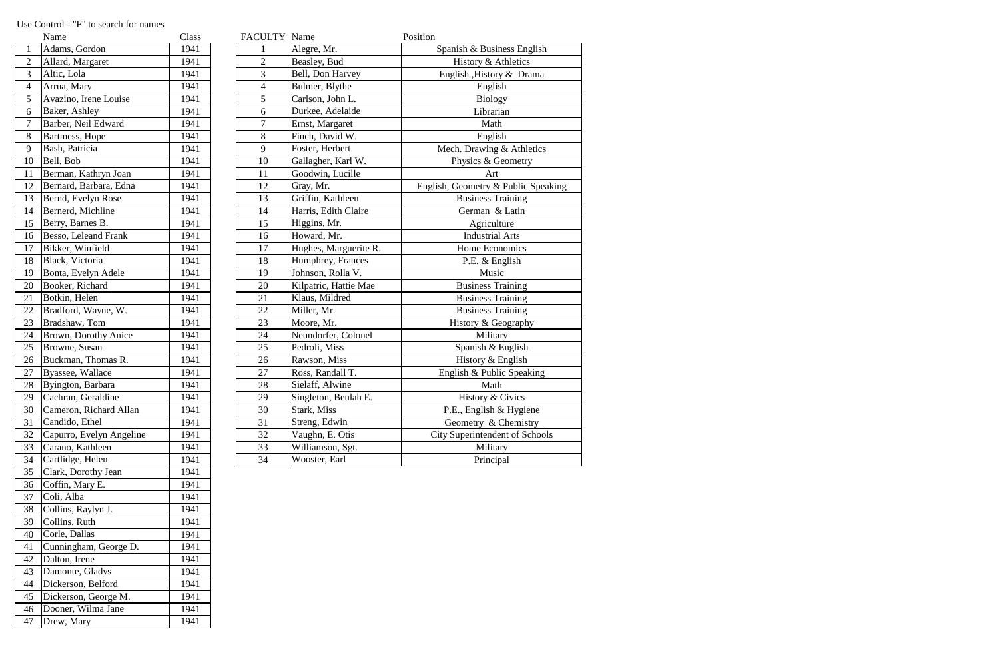|                 | Name                     | Class | FACULTY Name   |                       | Position                            |
|-----------------|--------------------------|-------|----------------|-----------------------|-------------------------------------|
| $\mathbf{1}$    | Adams, Gordon            | 1941  |                | Alegre, Mr.           | Spanish & Business English          |
| $\overline{2}$  | Allard, Margaret         | 1941  | $\overline{2}$ | Beasley, Bud          | History & Athletics                 |
| 3               | Altic, Lola              | 1941  | 3              | Bell, Don Harvey      | English , History & Drama           |
| $\overline{4}$  | Arrua, Mary              | 1941  | 4              | Bulmer, Blythe        | English                             |
| 5               | Avazino, Irene Louise    | 1941  | 5              | Carlson, John L.      | <b>Biology</b>                      |
| 6               | Baker, Ashley            | 1941  | 6              | Durkee, Adelaide      | Librarian                           |
| $\overline{7}$  | Barber, Neil Edward      | 1941  | $\tau$         | Ernst, Margaret       | Math                                |
| 8               | Bartmess, Hope           | 1941  | 8              | Finch, David W.       | English                             |
| 9               | Bash, Patricia           | 1941  | 9              | Foster, Herbert       | Mech. Drawing & Athletics           |
| 10              | Bell, Bob                | 1941  | 10             | Gallagher, Karl W.    | Physics & Geometry                  |
| 11              | Berman, Kathryn Joan     | 1941  | 11             | Goodwin, Lucille      | Art                                 |
| 12              | Bernard, Barbara, Edna   | 1941  | 12             | Gray, Mr.             | English, Geometry & Public Speaking |
| 13              | Bernd, Evelyn Rose       | 1941  | 13             | Griffin, Kathleen     | <b>Business Training</b>            |
| 14              | Bernerd, Michline        | 1941  | 14             | Harris, Edith Claire  | German & Latin                      |
| 15              | Berry, Barnes B.         | 1941  | 15             | Higgins, Mr.          | Agriculture                         |
| 16              | Besso, Leleand Frank     | 1941  | 16             | Howard, Mr.           | <b>Industrial Arts</b>              |
| 17              | Bikker, Winfield         | 1941  | 17             | Hughes, Marguerite R. | Home Economics                      |
| 18              | Black, Victoria          | 1941  | 18             | Humphrey, Frances     | P.E. & English                      |
| 19              | Bonta, Evelyn Adele      | 1941  | 19             | Johnson, Rolla V.     | Music                               |
| 20              | Booker, Richard          | 1941  | 20             | Kilpatric, Hattie Mae | <b>Business Training</b>            |
| 21              | Botkin, Helen            | 1941  | 21             | Klaus, Mildred        | <b>Business Training</b>            |
| $\overline{22}$ | Bradford, Wayne, W.      | 1941  | 22             | Miller, Mr.           | <b>Business Training</b>            |
| 23              | Bradshaw, Tom            | 1941  | 23             | Moore, Mr.            | History & Geography                 |
| 24              | Brown, Dorothy Anice     | 1941  | 24             | Neundorfer, Colonel   | Military                            |
| 25              | Browne, Susan            | 1941  | 25             | Pedroli, Miss         | Spanish & English                   |
| 26              | Buckman, Thomas R.       | 1941  | 26             | Rawson, Miss          | History & English                   |
| 27              | Byassee, Wallace         | 1941  | 27             | Ross, Randall T.      | English & Public Speaking           |
| 28              | Byington, Barbara        | 1941  | 28             | Sielaff, Alwine       | Math                                |
| 29              | Cachran, Geraldine       | 1941  | 29             | Singleton, Beulah E.  | History & Civics                    |
| 30              | Cameron, Richard Allan   | 1941  | 30             | Stark, Miss           | P.E., English & Hygiene             |
| 31              | Candido, Ethel           | 1941  | 31             | Streng, Edwin         | Geometry & Chemistry                |
| $\overline{32}$ | Capurro, Evelyn Angeline | 1941  | 32             | Vaughn, E. Otis       | City Superintendent of Schools      |
| 33              | Carano, Kathleen         | 1941  | 33             | Williamson, Sgt.      | Military                            |
| 34              | Cartlidge, Helen         | 1941  | 34             | Wooster, Earl         | Principal                           |

|                | Name                     | Class |
|----------------|--------------------------|-------|
| $\mathbf{1}$   | Adams, Gordon            | 1941  |
| $\overline{c}$ | Allard, Margaret         | 1941  |
| 3              | Altic, Lola              | 1941  |
| $\overline{4}$ | Arrua, Mary              | 1941  |
| 5              | Avazino, Irene Louise    | 1941  |
| 6              | Baker, Ashley            | 1941  |
| $\overline{7}$ | Barber, Neil Edward      | 1941  |
| 8              | Bartmess, Hope           | 1941  |
| 9              | Bash, Patricia           | 1941  |
| 10             | Bell, Bob                | 1941  |
| 11             | Berman, Kathryn Joan     | 1941  |
| 12             | Bernard, Barbara, Edna   | 1941  |
| 13             | Bernd, Evelyn Rose       | 1941  |
| 14             | Bernerd, Michline        | 1941  |
| 15             | Berry, Barnes B.         | 1941  |
| 16             | Besso, Leleand Frank     | 1941  |
| 17             | Bikker, Winfield         | 1941  |
| 18             | Black, Victoria          | 1941  |
| 19             | Bonta, Evelyn Adele      | 1941  |
| 20             | Booker, Richard          | 1941  |
| 21             | Botkin, Helen            | 1941  |
| 22             | Bradford, Wayne, W.      | 1941  |
| 23             | Bradshaw, Tom            | 1941  |
| 24             | Brown, Dorothy Anice     | 1941  |
| 25             | Browne, Susan            | 1941  |
| 26             | Buckman, Thomas R.       | 1941  |
| 27             |                          | 1941  |
|                | Byassee, Wallace         |       |
| 28             | Byington, Barbara        | 1941  |
| 29             | Cachran, Geraldine       | 1941  |
| 30             | Cameron, Richard Allan   | 1941  |
| 31             | Candido, Ethel           | 1941  |
| 32             | Capurro, Evelyn Angeline | 1941  |
| 33             | Carano, Kathleen         | 1941  |
| 34             | Cartlidge, Helen         | 1941  |
| 35             | Clark, Dorothy Jean      | 1941  |
| 36             | Coffin, Mary E.          | 1941  |
| 37             | Coli, Alba               | 1941  |
| 38             | Collins, Raylyn J.       | 1941  |
| 39             | Collins, Ruth            | 1941  |
| 40             | Corle, Dallas            | 1941  |
| 41             | Cunningham, George D.    | 1941  |
| 42             | Dalton, Irene            | 1941  |
| 43             | Damonte, Gladys          | 1941  |
| 44             | Dickerson, Belford       | 1941  |
| 45             | Dickerson, George M.     | 1941  |
| 46             | Dooner, Wilma Jane       | 1941  |
| 47             | Drew, Mary               | 1941  |

## Use Control - "F" to search for names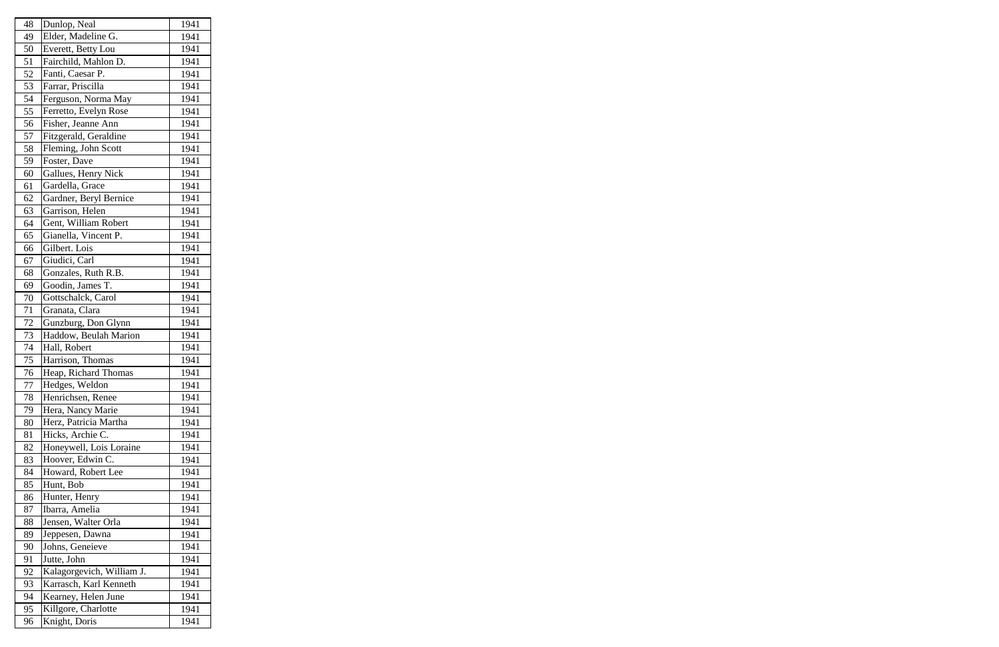| 48 | Dunlop, Neal              | 1941 |
|----|---------------------------|------|
| 49 | Elder, Madeline G.        | 1941 |
| 50 | Everett, Betty Lou        | 1941 |
| 51 | Fairchild, Mahlon D.      | 1941 |
| 52 | Fanti, Caesar P.          | 1941 |
| 53 | Farrar, Priscilla         | 1941 |
| 54 | Ferguson, Norma May       | 1941 |
| 55 | Ferretto, Evelyn Rose     | 1941 |
| 56 | Fisher, Jeanne Ann        | 1941 |
| 57 | Fitzgerald, Geraldine     | 1941 |
| 58 | Fleming, John Scott       | 1941 |
| 59 | Foster, Dave              | 1941 |
| 60 | Gallues, Henry Nick       | 1941 |
| 61 | Gardella, Grace           | 1941 |
| 62 | Gardner, Beryl Bernice    | 1941 |
| 63 | Garrison, Helen           | 1941 |
| 64 | Gent, William Robert      | 1941 |
| 65 | Gianella, Vincent P.      | 1941 |
| 66 | Gilbert. Lois             | 1941 |
| 67 | Giudici, Carl             | 1941 |
| 68 | Gonzales, Ruth R.B.       | 1941 |
| 69 | Goodin, James T.          | 1941 |
| 70 | Gottschalck, Carol        | 1941 |
| 71 | Granata, Clara            | 1941 |
| 72 | Gunzburg, Don Glynn       | 1941 |
| 73 | Haddow, Beulah Marion     | 1941 |
| 74 | Hall, Robert              | 1941 |
| 75 | Harrison, Thomas          | 1941 |
| 76 | Heap, Richard Thomas      | 1941 |
| 77 | Hedges, Weldon            | 1941 |
| 78 | Henrichsen, Renee         | 1941 |
| 79 | Hera, Nancy Marie         | 1941 |
| 80 | Herz, Patricia Martha     | 1941 |
| 81 | Hicks, Archie C.          | 1941 |
| 82 | Honeywell, Lois Loraine   | 1941 |
| 83 | Hoover, Edwin C.          | 1941 |
| 84 | Howard, Robert Lee        | 1941 |
| 85 | Hunt, Bob                 | 1941 |
| 86 | Hunter, Henry             | 1941 |
| 87 | Ibarra, Amelia            | 1941 |
| 88 | Jensen, Walter Orla       | 1941 |
| 89 | Jeppesen, Dawna           | 1941 |
| 90 | Johns, Geneieve           | 1941 |
| 91 | Jutte, John               | 1941 |
| 92 | Kalagorgevich, William J. | 1941 |
| 93 | Karrasch, Karl Kenneth    | 1941 |
| 94 | Kearney, Helen June       | 1941 |
| 95 | Killgore, Charlotte       | 1941 |
| 96 | Knight, Doris             | 1941 |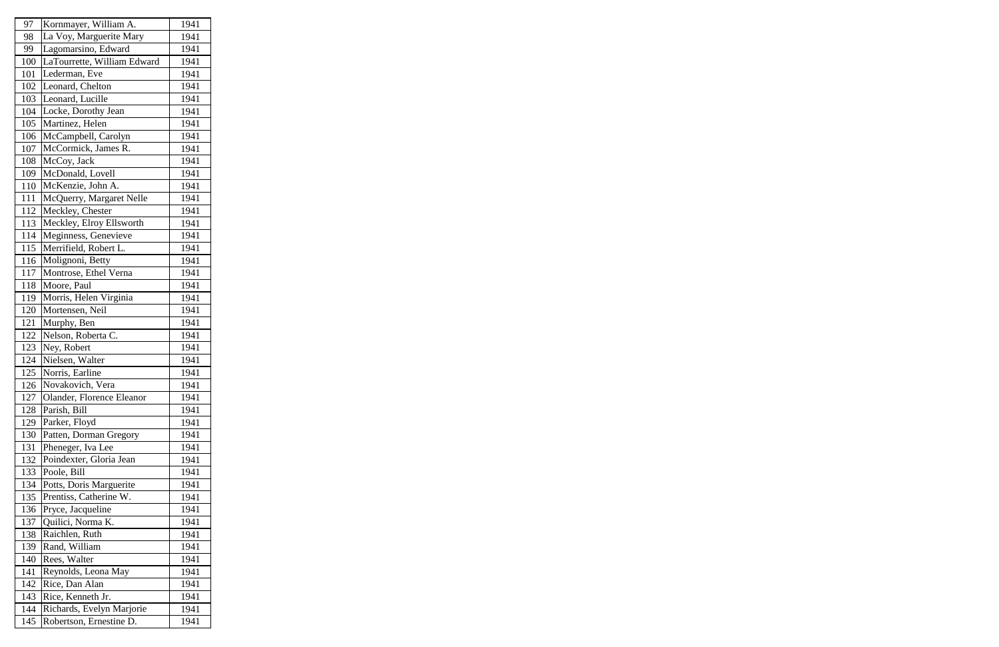| 97  | Kornmayer, William A.       | 1941 |
|-----|-----------------------------|------|
| 98  | La Voy, Marguerite Mary     | 1941 |
| 99  | Lagomarsino, Edward         | 1941 |
| 100 | LaTourrette, William Edward | 1941 |
| 101 | Lederman, Eve               | 1941 |
| 102 | Leonard, Chelton            | 1941 |
| 103 | Leonard, Lucille            | 1941 |
| 104 | Locke, Dorothy Jean         | 1941 |
| 105 | Martinez, Helen             | 1941 |
| 106 | McCampbell, Carolyn         | 1941 |
| 107 | McCormick, James R.         | 1941 |
| 108 | McCoy, Jack                 | 1941 |
| 109 | McDonald, Lovell            | 1941 |
| 110 | McKenzie, John A.           | 1941 |
| 111 | McQuerry, Margaret Nelle    | 1941 |
| 112 | Meckley, Chester            | 1941 |
| 113 | Meckley, Elroy Ellsworth    | 1941 |
| 114 | Meginness, Genevieve        | 1941 |
| 115 | Merrifield, Robert L.       | 1941 |
| 116 | Molignoni, Betty            | 1941 |
| 117 | Montrose, Ethel Verna       | 1941 |
| 118 | Moore, Paul                 | 1941 |
| 119 | Morris, Helen Virginia      | 1941 |
| 120 | Mortensen, Neil             | 1941 |
| 121 | Murphy, Ben                 | 1941 |
| 122 | Nelson, Roberta C.          | 1941 |
| 123 | Ney, Robert                 | 1941 |
| 124 | Nielsen, Walter             | 1941 |
| 125 | Norris, Earline             | 1941 |
| 126 | Novakovich, Vera            | 1941 |
| 127 | Olander, Florence Eleanor   | 1941 |
| 128 | Parish, Bill                | 1941 |
| 129 | Parker, Floyd               | 1941 |
| 130 | Patten, Dorman Gregory      | 1941 |
| 131 | Pheneger, Iva Lee           | 1941 |
| 132 | Poindexter, Gloria Jean     | 1941 |
| 133 | Poole, Bill                 | 1941 |
| 134 | Potts, Doris Marguerite     | 1941 |
| 135 | Prentiss, Catherine W.      | 1941 |
| 136 | Pryce, Jacqueline           | 1941 |
| 137 | Quilici, Norma K.           | 1941 |
| 138 | Raichlen, Ruth              | 1941 |
| 139 | Rand, William               | 1941 |
| 140 | Rees, Walter                | 1941 |
| 141 | Reynolds, Leona May         | 1941 |
| 142 | Rice, Dan Alan              | 1941 |
| 143 | Rice, Kenneth Jr.           | 1941 |
| 144 | Richards, Evelyn Marjorie   | 1941 |
| 145 | Robertson, Ernestine D.     | 1941 |